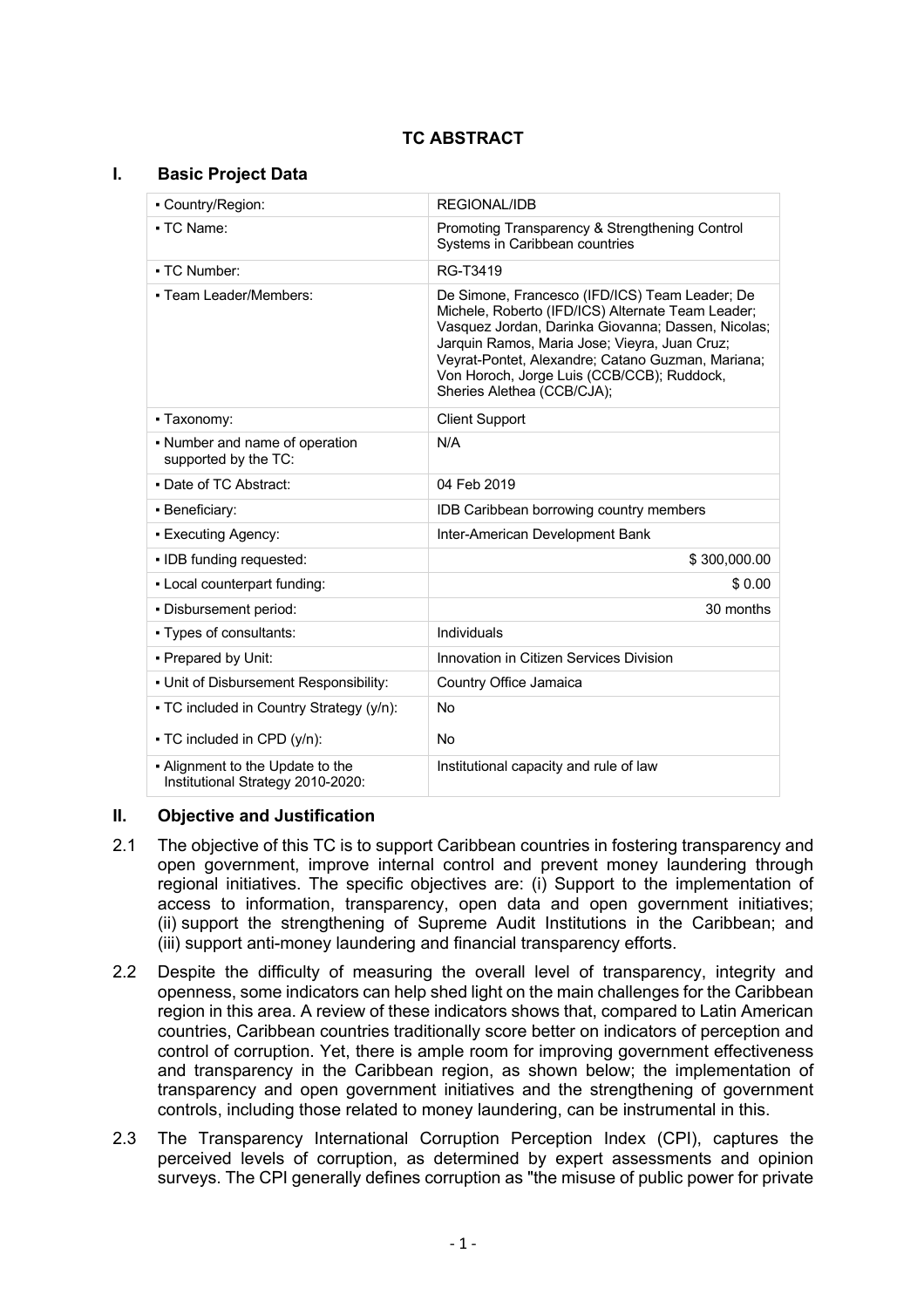# **TC ABSTRACT**

# **I. Basic Project Data**

| - Country/Region:                                                     | REGIONAL/IDB                                                                                                                                                                                                                                                                                                                                |  |  |
|-----------------------------------------------------------------------|---------------------------------------------------------------------------------------------------------------------------------------------------------------------------------------------------------------------------------------------------------------------------------------------------------------------------------------------|--|--|
| • TC Name:                                                            | Promoting Transparency & Strengthening Control<br>Systems in Caribbean countries                                                                                                                                                                                                                                                            |  |  |
| • TC Number:                                                          | RG-T3419                                                                                                                                                                                                                                                                                                                                    |  |  |
| - Team Leader/Members:                                                | De Simone, Francesco (IFD/ICS) Team Leader; De<br>Michele, Roberto (IFD/ICS) Alternate Team Leader;<br>Vasquez Jordan, Darinka Giovanna; Dassen, Nicolas;<br>Jarquin Ramos, Maria Jose; Vieyra, Juan Cruz;<br>Veyrat-Pontet, Alexandre; Catano Guzman, Mariana;<br>Von Horoch, Jorge Luis (CCB/CCB); Ruddock,<br>Sheries Alethea (CCB/CJA); |  |  |
| • Taxonomy:                                                           | <b>Client Support</b>                                                                                                                                                                                                                                                                                                                       |  |  |
| • Number and name of operation<br>supported by the TC:                | N/A                                                                                                                                                                                                                                                                                                                                         |  |  |
| • Date of TC Abstract:                                                | 04 Feb 2019                                                                                                                                                                                                                                                                                                                                 |  |  |
| • Beneficiary:                                                        | IDB Caribbean borrowing country members                                                                                                                                                                                                                                                                                                     |  |  |
| - Executing Agency:                                                   | Inter-American Development Bank                                                                                                                                                                                                                                                                                                             |  |  |
| • IDB funding requested:                                              | \$300,000.00                                                                                                                                                                                                                                                                                                                                |  |  |
| - Local counterpart funding:                                          | \$0.00                                                                                                                                                                                                                                                                                                                                      |  |  |
| · Disbursement period:                                                | 30 months                                                                                                                                                                                                                                                                                                                                   |  |  |
| • Types of consultants:                                               | Individuals                                                                                                                                                                                                                                                                                                                                 |  |  |
| - Prepared by Unit:                                                   | Innovation in Citizen Services Division                                                                                                                                                                                                                                                                                                     |  |  |
| - Unit of Disbursement Responsibility:                                | Country Office Jamaica                                                                                                                                                                                                                                                                                                                      |  |  |
| • TC included in Country Strategy (y/n):                              | <b>No</b>                                                                                                                                                                                                                                                                                                                                   |  |  |
| • TC included in CPD (y/n):                                           | <b>No</b>                                                                                                                                                                                                                                                                                                                                   |  |  |
| • Alignment to the Update to the<br>Institutional Strategy 2010-2020: | Institutional capacity and rule of law                                                                                                                                                                                                                                                                                                      |  |  |

# **II. Objective and Justification**

- 2.1 The objective of this TC is to support Caribbean countries in fostering transparency and open government, improve internal control and prevent money laundering through regional initiatives. The specific objectives are: (i) Support to the implementation of access to information, transparency, open data and open government initiatives; (ii) support the strengthening of Supreme Audit Institutions in the Caribbean; and (iii) support anti-money laundering and financial transparency efforts.
- 2.2 Despite the difficulty of measuring the overall level of transparency, integrity and openness, some indicators can help shed light on the main challenges for the Caribbean region in this area. A review of these indicators shows that, compared to Latin American countries, Caribbean countries traditionally score better on indicators of perception and control of corruption. Yet, there is ample room for improving government effectiveness and transparency in the Caribbean region, as shown below; the implementation of transparency and open government initiatives and the strengthening of government controls, including those related to money laundering, can be instrumental in this.
- 2.3 The Transparency International Corruption Perception Index (CPI), captures the perceived levels of corruption, as determined by expert assessments and opinion surveys. The CPI generally defines corruption as "the misuse of public power for private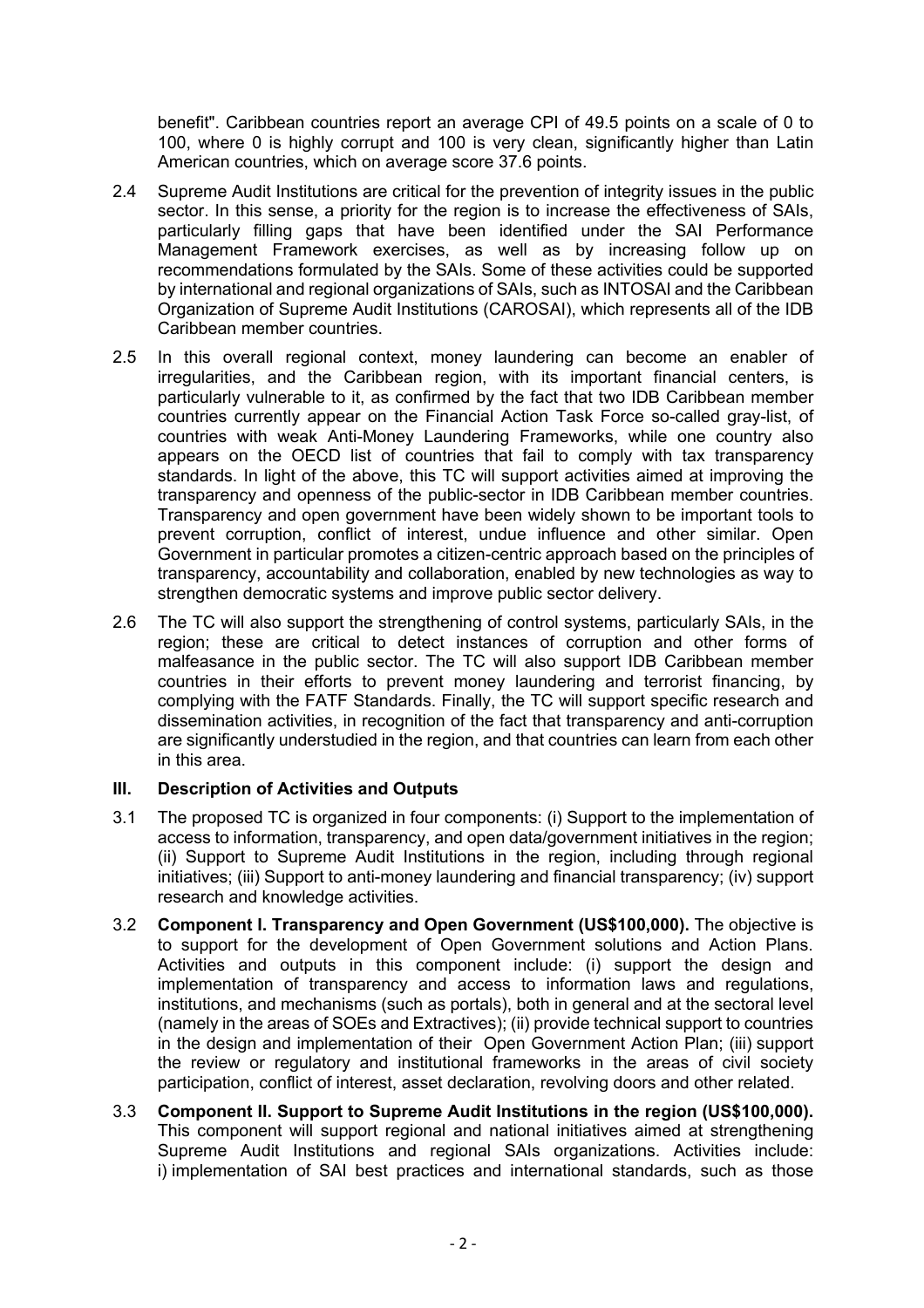benefit". Caribbean countries report an average CPI of 49.5 points on a scale of 0 to 100, where 0 is highly corrupt and 100 is very clean, significantly higher than Latin American countries, which on average score 37.6 points.

- 2.4 Supreme Audit Institutions are critical for the prevention of integrity issues in the public sector. In this sense, a priority for the region is to increase the effectiveness of SAIs, particularly filling gaps that have been identified under the SAI Performance Management Framework exercises, as well as by increasing follow up on recommendations formulated by the SAIs. Some of these activities could be supported by international and regional organizations of SAIs, such as INTOSAI and the Caribbean Organization of Supreme Audit Institutions (CAROSAI), which represents all of the IDB Caribbean member countries.
- 2.5 In this overall regional context, money laundering can become an enabler of irregularities, and the Caribbean region, with its important financial centers, is particularly vulnerable to it, as confirmed by the fact that two IDB Caribbean member countries currently appear on the Financial Action Task Force so-called gray-list, of countries with weak Anti-Money Laundering Frameworks, while one country also appears on the OECD list of countries that fail to comply with tax transparency standards. In light of the above, this TC will support activities aimed at improving the transparency and openness of the public-sector in IDB Caribbean member countries. Transparency and open government have been widely shown to be important tools to prevent corruption, conflict of interest, undue influence and other similar. Open Government in particular promotes a citizen-centric approach based on the principles of transparency, accountability and collaboration, enabled by new technologies as way to strengthen democratic systems and improve public sector delivery.
- 2.6 The TC will also support the strengthening of control systems, particularly SAIs, in the region; these are critical to detect instances of corruption and other forms of malfeasance in the public sector. The TC will also support IDB Caribbean member countries in their efforts to prevent money laundering and terrorist financing, by complying with the FATF Standards. Finally, the TC will support specific research and dissemination activities, in recognition of the fact that transparency and anti-corruption are significantly understudied in the region, and that countries can learn from each other in this area.

# **III. Description of Activities and Outputs**

- 3.1 The proposed TC is organized in four components: (i) Support to the implementation of access to information, transparency, and open data/government initiatives in the region; (ii) Support to Supreme Audit Institutions in the region, including through regional initiatives; (iii) Support to anti-money laundering and financial transparency; (iv) support research and knowledge activities.
- 3.2 **Component I. Transparency and Open Government (US\$100,000).** The objective is to support for the development of Open Government solutions and Action Plans. Activities and outputs in this component include: (i) support the design and implementation of transparency and access to information laws and regulations, institutions, and mechanisms (such as portals), both in general and at the sectoral level (namely in the areas of SOEs and Extractives); (ii) provide technical support to countries in the design and implementation of their Open Government Action Plan; (iii) support the review or regulatory and institutional frameworks in the areas of civil society participation, conflict of interest, asset declaration, revolving doors and other related.
- 3.3 **Component II. Support to Supreme Audit Institutions in the region (US\$100,000).** This component will support regional and national initiatives aimed at strengthening Supreme Audit Institutions and regional SAIs organizations. Activities include: i) implementation of SAI best practices and international standards, such as those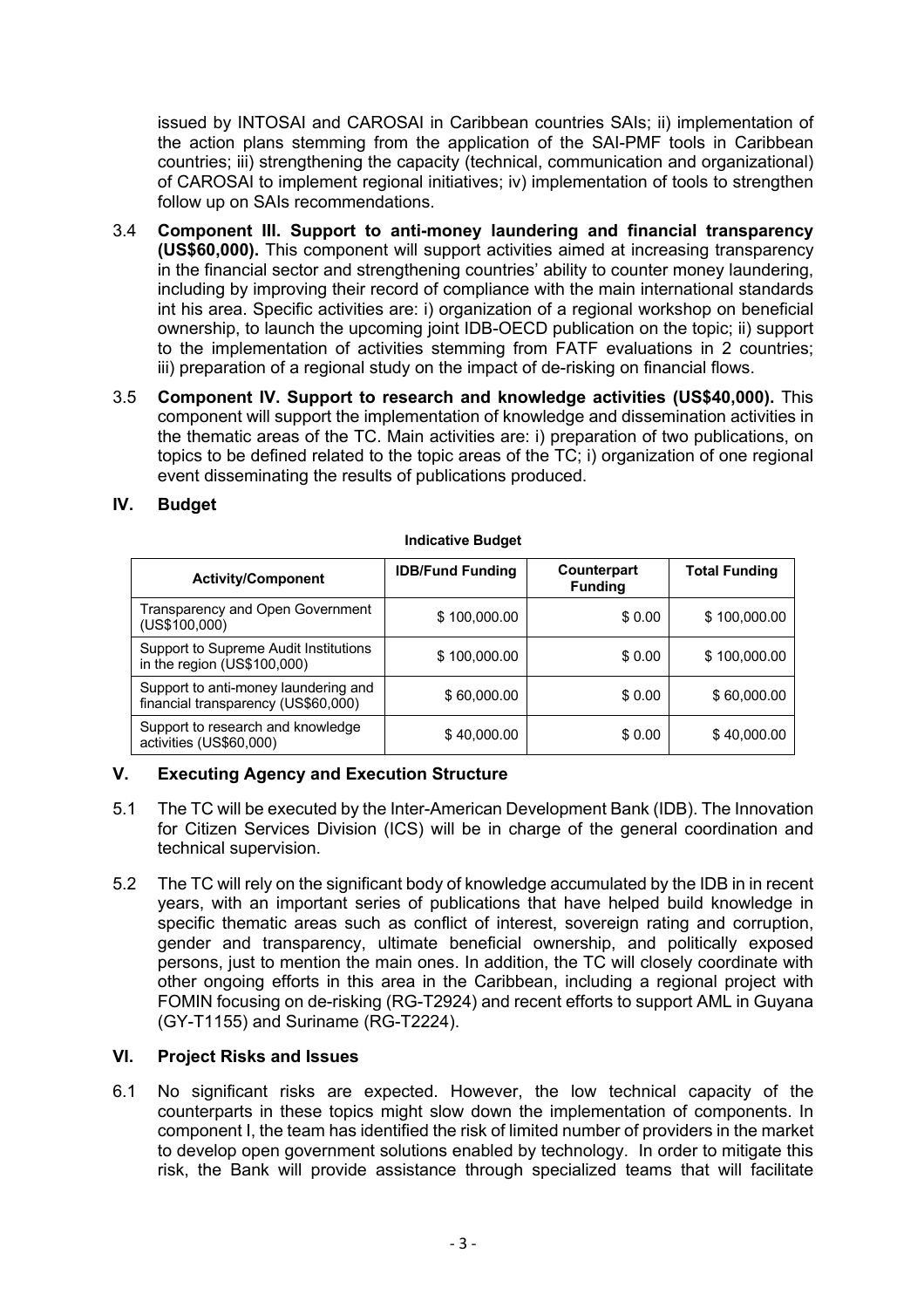issued by INTOSAI and CAROSAI in Caribbean countries SAIs; ii) implementation of the action plans stemming from the application of the SAI-PMF tools in Caribbean countries; iii) strengthening the capacity (technical, communication and organizational) of CAROSAI to implement regional initiatives; iv) implementation of tools to strengthen follow up on SAIs recommendations.

- 3.4 **Component III. Support to anti-money laundering and financial transparency (US\$60,000).** This component will support activities aimed at increasing transparency in the financial sector and strengthening countries' ability to counter money laundering, including by improving their record of compliance with the main international standards int his area. Specific activities are: i) organization of a regional workshop on beneficial ownership, to launch the upcoming joint IDB-OECD publication on the topic; ii) support to the implementation of activities stemming from FATF evaluations in 2 countries; iii) preparation of a regional study on the impact of de-risking on financial flows.
- 3.5 **Component IV. Support to research and knowledge activities (US\$40,000).** This component will support the implementation of knowledge and dissemination activities in the thematic areas of the TC. Main activities are: i) preparation of two publications, on topics to be defined related to the topic areas of the TC; i) organization of one regional event disseminating the results of publications produced.

# **IV. Budget**

| <b>Activity/Component</b>                                                   | <b>IDB/Fund Funding</b> | Counterpart<br><b>Funding</b> | <b>Total Funding</b> |
|-----------------------------------------------------------------------------|-------------------------|-------------------------------|----------------------|
| Transparency and Open Government<br>(USS100,000)                            | \$100,000.00            | \$0.00                        | \$100,000.00         |
| Support to Supreme Audit Institutions<br>in the region (US\$100,000)        | \$100,000.00            | \$0.00                        | \$100,000.00         |
| Support to anti-money laundering and<br>financial transparency (US\$60,000) | \$60,000.00             | \$ 0.00                       | \$60,000.00          |
| Support to research and knowledge<br>activities (US\$60,000)                | \$40,000.00             | \$ 0.00                       | \$40,000.00          |

#### **Indicative Budget**

# **V. Executing Agency and Execution Structure**

- 5.1 The TC will be executed by the Inter-American Development Bank (IDB). The Innovation for Citizen Services Division (ICS) will be in charge of the general coordination and technical supervision.
- 5.2 The TC will rely on the significant body of knowledge accumulated by the IDB in in recent years, with an important series of publications that have helped build knowledge in specific thematic areas such as conflict of interest, sovereign rating and corruption, gender and transparency, ultimate beneficial ownership, and politically exposed persons, just to mention the main ones. In addition, the TC will closely coordinate with other ongoing efforts in this area in the Caribbean, including a regional project with FOMIN focusing on de-risking (RG-T2924) and recent efforts to support AML in Guyana (GY-T1155) and Suriname (RG-T2224).

# **VI. Project Risks and Issues**

6.1 No significant risks are expected. However, the low technical capacity of the counterparts in these topics might slow down the implementation of components. In component I, the team has identified the risk of limited number of providers in the market to develop open government solutions enabled by technology. In order to mitigate this risk, the Bank will provide assistance through specialized teams that will facilitate